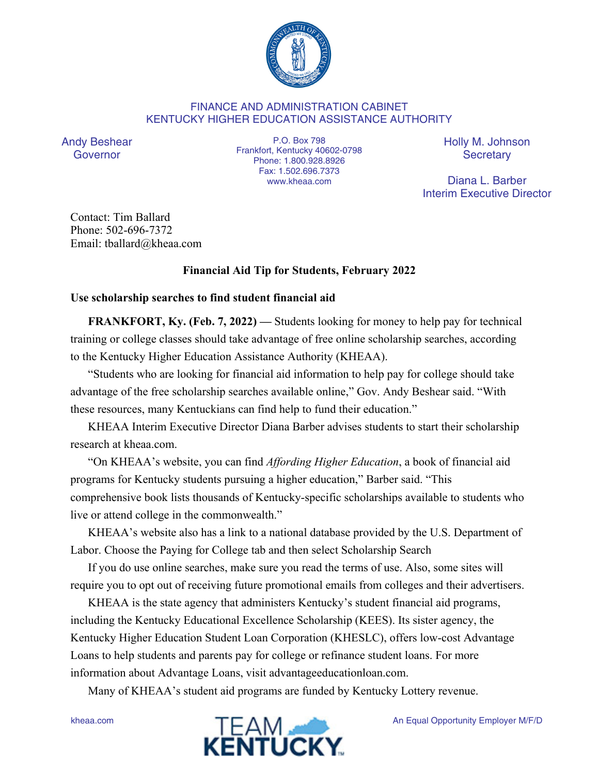

## FINANCE AND ADMINISTRATION CABINET KENTUCKY HIGHER EDUCATION ASSISTANCE AUTHORITY

Andy Beshear Governor

P.O. Box 798 Frankfort, Kentucky 40602-0798 Phone: 1.800.928.8926 Fax: 1.502.696.7373 www.kheaa.com

Holly M. Johnson **Secretary** 

Diana L. Barber Interim Executive Director

Contact: Tim Ballard Phone: 502-696-7372 Email: tballard@kheaa.com

## **Financial Aid Tip for Students, February 2022**

## **Use scholarship searches to find student financial aid**

**FRANKFORT, Ky. (Feb. 7, 2022) — Students looking for money to help pay for technical** training or college classes should take advantage of free online scholarship searches, according to the Kentucky Higher Education Assistance Authority (KHEAA).

"Students who are looking for financial aid information to help pay for college should take advantage of the free scholarship searches available online," Gov. Andy Beshear said. "With these resources, many Kentuckians can find help to fund their education."

KHEAA Interim Executive Director Diana Barber advises students to start their scholarship research at kheaa.com.

"On KHEAA's website, you can find *Affording Higher Education*, a book of financial aid programs for Kentucky students pursuing a higher education," Barber said. "This comprehensive book lists thousands of Kentucky-specific scholarships available to students who live or attend college in the commonwealth."

KHEAA's website also has a link to a national database provided by the U.S. Department of Labor. Choose the Paying for College tab and then select Scholarship Search

If you do use online searches, make sure you read the terms of use. Also, some sites will require you to opt out of receiving future promotional emails from colleges and their advertisers.

KHEAA is the state agency that administers Kentucky's student financial aid programs, including the Kentucky Educational Excellence Scholarship (KEES). Its sister agency, the Kentucky Higher Education Student Loan Corporation (KHESLC), offers low-cost Advantage Loans to help students and parents pay for college or refinance student loans. For more information about Advantage Loans, visit advantageeducationloan.com.

Many of KHEAA's student aid programs are funded by Kentucky Lottery revenue.